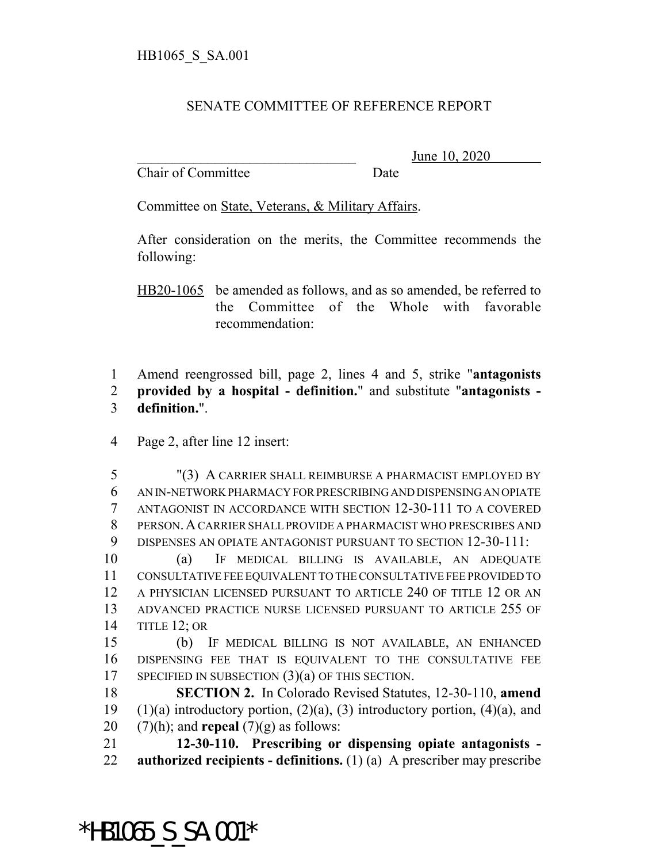## SENATE COMMITTEE OF REFERENCE REPORT

Chair of Committee Date

June 10, 2020

Committee on State, Veterans, & Military Affairs.

After consideration on the merits, the Committee recommends the following:

HB20-1065 be amended as follows, and as so amended, be referred to the Committee of the Whole with favorable recommendation:

1 Amend reengrossed bill, page 2, lines 4 and 5, strike "**antagonists** 2 **provided by a hospital - definition.**" and substitute "**antagonists -** 3 **definition.**".

4 Page 2, after line 12 insert:

 "(3) A CARRIER SHALL REIMBURSE A PHARMACIST EMPLOYED BY AN IN-NETWORK PHARMACY FOR PRESCRIBING AND DISPENSING AN OPIATE ANTAGONIST IN ACCORDANCE WITH SECTION 12-30-111 TO A COVERED PERSON.A CARRIER SHALL PROVIDE A PHARMACIST WHO PRESCRIBES AND DISPENSES AN OPIATE ANTAGONIST PURSUANT TO SECTION 12-30-111:

 (a) IF MEDICAL BILLING IS AVAILABLE, AN ADEQUATE CONSULTATIVE FEE EQUIVALENT TO THE CONSULTATIVE FEE PROVIDED TO A PHYSICIAN LICENSED PURSUANT TO ARTICLE 240 OF TITLE 12 OR AN ADVANCED PRACTICE NURSE LICENSED PURSUANT TO ARTICLE 255 OF TITLE 12; OR

15 (b) IF MEDICAL BILLING IS NOT AVAILABLE, AN ENHANCED 16 DISPENSING FEE THAT IS EQUIVALENT TO THE CONSULTATIVE FEE 17 SPECIFIED IN SUBSECTION  $(3)(a)$  OF THIS SECTION.

18 **SECTION 2.** In Colorado Revised Statutes, 12-30-110, **amend** 19 (1)(a) introductory portion,  $(2)(a)$ ,  $(3)$  introductory portion,  $(4)(a)$ , and 20  $(7)(h)$ ; and **repeal**  $(7)(g)$  as follows:

21 **12-30-110. Prescribing or dispensing opiate antagonists -** 22 **authorized recipients - definitions.** (1) (a) A prescriber may prescribe

\*HB1065\_S\_SA.001\*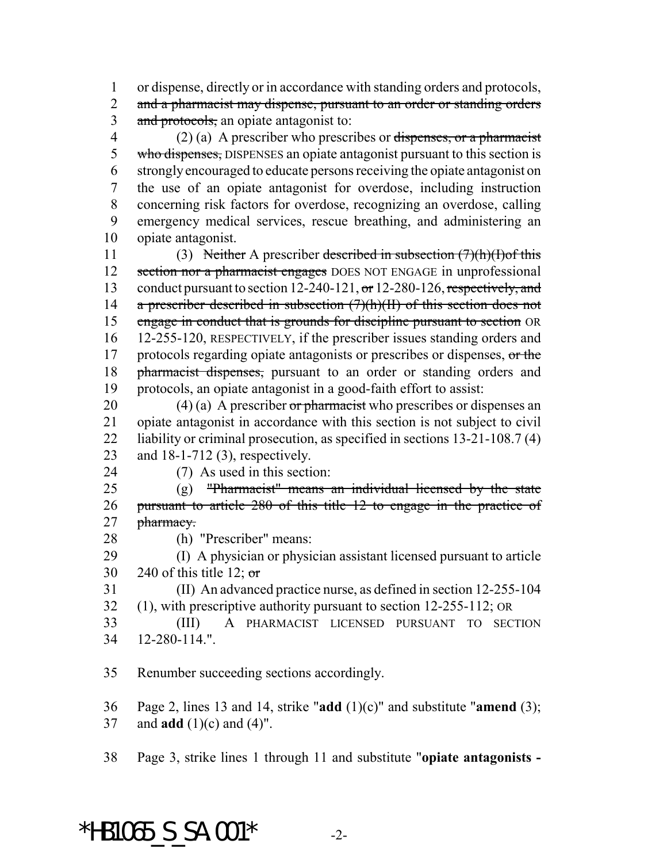or dispense, directly or in accordance with standing orders and protocols,

2 and a pharmacist may dispense, pursuant to an order or standing orders 3 and protocols, an opiate antagonist to:

4 (2) (a) A prescriber who prescribes or dispenses, or a pharmacist 5 who dispenses, DISPENSES an opiate antagonist pursuant to this section is strongly encouraged to educate persons receiving the opiate antagonist on the use of an opiate antagonist for overdose, including instruction concerning risk factors for overdose, recognizing an overdose, calling emergency medical services, rescue breathing, and administering an opiate antagonist.

 (3) Neither A prescriber described in subsection (7)(h)(I)of this 12 section nor a pharmacist engages DOES NOT ENGAGE in unprofessional 13 conduct pursuant to section 12-240-121, or 12-280-126, respectively, and 14 a prescriber described in subsection  $(7)(h)(H)$  of this section does not 15 engage in conduct that is grounds for discipline pursuant to section OR 12-255-120, RESPECTIVELY, if the prescriber issues standing orders and 17 protocols regarding opiate antagonists or prescribes or dispenses, or the 18 pharmacist dispenses, pursuant to an order or standing orders and protocols, an opiate antagonist in a good-faith effort to assist:

20 (4) (a) A prescriber or pharmacist who prescribes or dispenses an opiate antagonist in accordance with this section is not subject to civil 22 liability or criminal prosecution, as specified in sections 13-21-108.7 (4) and 18-1-712 (3), respectively.

(7) As used in this section:

 (g) "Pharmacist" means an individual licensed by the state pursuant to article 280 of this title 12 to engage in the practice of 27 pharmacy.

(h) "Prescriber" means:

 (I) A physician or physician assistant licensed pursuant to article 30 240 of this title 12;  $\sigma$ 

 (II) An advanced practice nurse, as defined in section 12-255-104 (1), with prescriptive authority pursuant to section 12-255-112; OR

 (III) A PHARMACIST LICENSED PURSUANT TO SECTION 12-280-114.".

Renumber succeeding sections accordingly.

 Page 2, lines 13 and 14, strike "**add** (1)(c)" and substitute "**amend** (3); and **add** (1)(c) and (4)".

Page 3, strike lines 1 through 11 and substitute "**opiate antagonists -**

## \*HB1065 S SA.001\*  $-2$ -